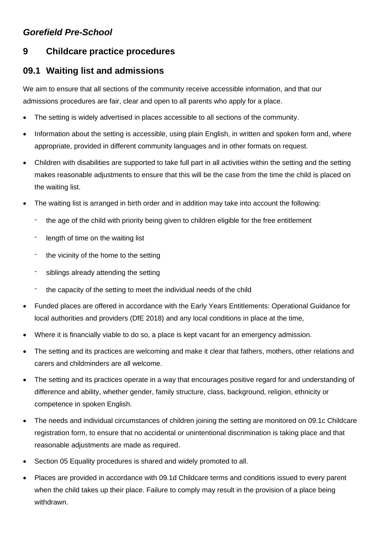## *Gorefield Pre-School*

# **9 Childcare practice procedures**

## **09.1 Waiting list and admissions**

We aim to ensure that all sections of the community receive accessible information, and that our admissions procedures are fair, clear and open to all parents who apply for a place.

- The setting is widely advertised in places accessible to all sections of the community.
- Information about the setting is accessible, using plain English, in written and spoken form and, where appropriate, provided in different community languages and in other formats on request.
- Children with disabilities are supported to take full part in all activities within the setting and the setting makes reasonable adjustments to ensure that this will be the case from the time the child is placed on the waiting list.
- The waiting list is arranged in birth order and in addition may take into account the following:
	- the age of the child with priority being given to children eligible for the free entitlement
	- length of time on the waiting list
	- the vicinity of the home to the setting
	- siblings already attending the setting
	- the capacity of the setting to meet the individual needs of the child
- Funded places are offered in accordance with the Early Years Entitlements: Operational Guidance for local authorities and providers (DfE 2018) and any local conditions in place at the time,
- Where it is financially viable to do so, a place is kept vacant for an emergency admission.
- The setting and its practices are welcoming and make it clear that fathers, mothers, other relations and carers and childminders are all welcome.
- The setting and its practices operate in a way that encourages positive regard for and understanding of difference and ability, whether gender, family structure, class, background, religion, ethnicity or competence in spoken English.
- The needs and individual circumstances of children joining the setting are monitored on 09.1c Childcare registration form, to ensure that no accidental or unintentional discrimination is taking place and that reasonable adjustments are made as required.
- Section 05 Equality procedures is shared and widely promoted to all.
- Places are provided in accordance with 09.1d Childcare terms and conditions issued to every parent when the child takes up their place. Failure to comply may result in the provision of a place being withdrawn.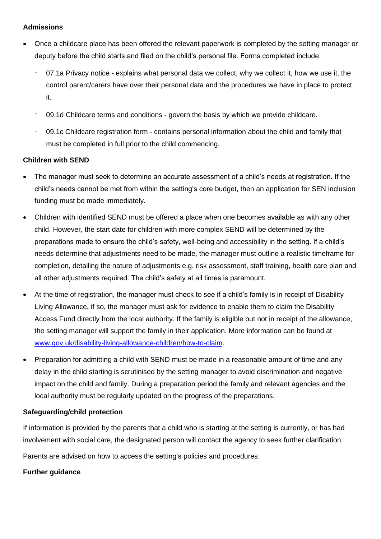#### **Admissions**

- Once a childcare place has been offered the relevant paperwork is completed by the setting manager or deputy before the child starts and filed on the child's personal file. Forms completed include:
	- 07.1a Privacy notice explains what personal data we collect, why we collect it, how we use it, the control parent/carers have over their personal data and the procedures we have in place to protect it.
	- 09.1d Childcare terms and conditions govern the basis by which we provide childcare.
	- 09.1c Childcare registration form contains personal information about the child and family that must be completed in full prior to the child commencing.

## **Children with SEND**

- The manager must seek to determine an accurate assessment of a child's needs at registration. If the child's needs cannot be met from within the setting's core budget, then an application for SEN inclusion funding must be made immediately.
- Children with identified SEND must be offered a place when one becomes available as with any other child. However, the start date for children with more complex SEND will be determined by the preparations made to ensure the child's safety, well-being and accessibility in the setting. If a child's needs determine that adjustments need to be made, the manager must outline a realistic timeframe for completion, detailing the nature of adjustments e.g. risk assessment, staff training, health care plan and all other adjustments required. The child's safety at all times is paramount.
- At the time of registration, the manager must check to see if a child's family is in receipt of Disability Living Allowance**,** if so, the manager must ask for evidence to enable them to claim the Disability Access Fund directly from the local authority. If the family is eligible but not in receipt of the allowance, the setting manager will support the family in their application. More information can be found at [www.gov.uk/disability-living-allowance-children/how-to-claim.](http://www.gov.uk/disability-living-allowance-children/how-to-claim)
- Preparation for admitting a child with SEND must be made in a reasonable amount of time and any delay in the child starting is scrutinised by the setting manager to avoid discrimination and negative impact on the child and family. During a preparation period the family and relevant agencies and the local authority must be regularly updated on the progress of the preparations.

## **Safeguarding/child protection**

If information is provided by the parents that a child who is starting at the setting is currently, or has had involvement with social care, the designated person will contact the agency to seek further clarification.

Parents are advised on how to access the setting's policies and procedures.

## **Further guidance**